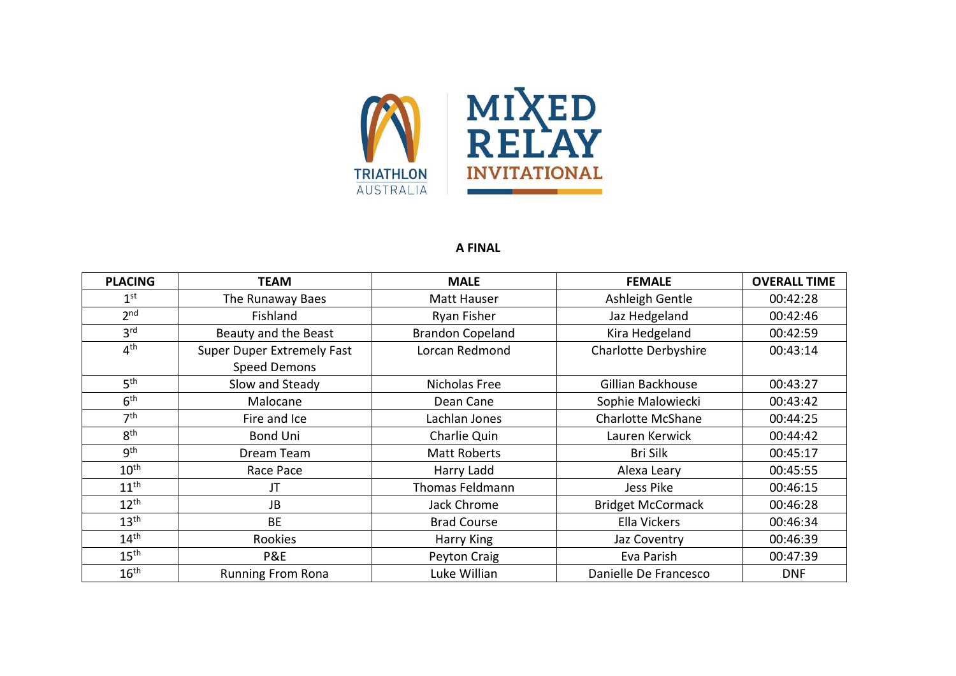

## **A FINAL**

| <b>PLACING</b>   | <b>TEAM</b>                | <b>MALE</b>             | <b>FEMALE</b>            | <b>OVERALL TIME</b> |
|------------------|----------------------------|-------------------------|--------------------------|---------------------|
| 1 <sup>st</sup>  | The Runaway Baes           | Matt Hauser             | Ashleigh Gentle          | 00:42:28            |
| 2 <sub>nd</sub>  | Fishland                   | Ryan Fisher             | Jaz Hedgeland            | 00:42:46            |
| 3 <sup>rd</sup>  | Beauty and the Beast       | <b>Brandon Copeland</b> | Kira Hedgeland           | 00:42:59            |
| 4 <sup>th</sup>  | Super Duper Extremely Fast | Lorcan Redmond          | Charlotte Derbyshire     | 00:43:14            |
|                  | <b>Speed Demons</b>        |                         |                          |                     |
| 5 <sup>th</sup>  | Slow and Steady            | Nicholas Free           | Gillian Backhouse        | 00:43:27            |
| 6 <sup>th</sup>  | Malocane                   | Dean Cane               | Sophie Malowiecki        | 00:43:42            |
| 7 <sup>th</sup>  | Fire and Ice               | Lachlan Jones           | <b>Charlotte McShane</b> | 00:44:25            |
| 8 <sup>th</sup>  | <b>Bond Uni</b>            | Charlie Quin            | Lauren Kerwick           | 00:44:42            |
| gth              | Dream Team                 | <b>Matt Roberts</b>     | <b>Bri Silk</b>          | 00:45:17            |
| $10^{\text{th}}$ | Race Pace                  | Harry Ladd              | Alexa Leary              | 00:45:55            |
| 11 <sup>th</sup> | JT                         | Thomas Feldmann         | Jess Pike                | 00:46:15            |
| $12^{th}$        | JB                         | Jack Chrome             | <b>Bridget McCormack</b> | 00:46:28            |
| 13 <sup>th</sup> | <b>BE</b>                  | <b>Brad Course</b>      | Ella Vickers             | 00:46:34            |
| 14 <sup>th</sup> | Rookies                    | Harry King              | Jaz Coventry             | 00:46:39            |
| 15 <sup>th</sup> | P&E                        | Peyton Craig            | Eva Parish               | 00:47:39            |
| 16 <sup>th</sup> | <b>Running From Rona</b>   | Luke Willian            | Danielle De Francesco    | <b>DNF</b>          |